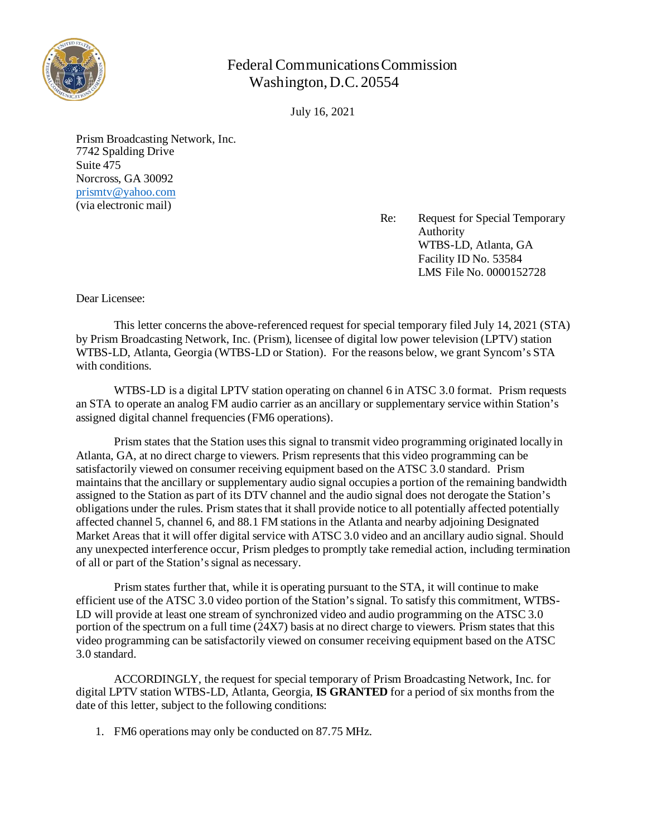

## Federal Communications Commission Washington, D.C. 20554

July 16, 2021

Prism Broadcasting Network, Inc. 7742 Spalding Drive Suite 475 Norcross, GA 30092 [prismtv@yahoo.com](mailto:prismtv@yahoo.com) (via electronic mail)

Re: Request for Special Temporary Authority WTBS-LD, Atlanta, GA Facility ID No. 53584 LMS File No. 0000152728

Dear Licensee:

This letter concerns the above-referenced request for special temporary filed July 14, 2021 (STA) by Prism Broadcasting Network, Inc. (Prism), licensee of digital low power television (LPTV) station WTBS-LD, Atlanta, Georgia (WTBS-LD or Station). For the reasons below, we grant Syncom's STA with conditions.

WTBS-LD is a digital LPTV station operating on channel 6 in ATSC 3.0 format. Prism requests an STA to operate an analog FM audio carrier as an ancillary or supplementary service within Station's assigned digital channel frequencies (FM6 operations).

Prism states that the Station uses this signal to transmit video programming originated locally in Atlanta, GA, at no direct charge to viewers. Prism represents that this video programming can be satisfactorily viewed on consumer receiving equipment based on the ATSC 3.0 standard. Prism maintains that the ancillary or supplementary audio signal occupies a portion of the remaining bandwidth assigned to the Station as part of its DTV channel and the audio signal does not derogate the Station's obligations under the rules. Prism states that it shall provide notice to all potentially affected potentially affected channel 5, channel 6, and 88.1 FM stations in the Atlanta and nearby adjoining Designated Market Areas that it will offer digital service with ATSC 3.0 video and an ancillary audio signal. Should any unexpected interference occur, Prism pledges to promptly take remedial action, including termination of all or part of the Station's signal as necessary.

Prism states further that, while it is operating pursuant to the STA, it will continue to make efficient use of the ATSC 3.0 video portion of the Station's signal. To satisfy this commitment, WTBS-LD will provide at least one stream of synchronized video and audio programming on the ATSC 3.0 portion of the spectrum on a full time (24X7) basis at no direct charge to viewers. Prism states that this video programming can be satisfactorily viewed on consumer receiving equipment based on the ATSC 3.0 standard.

ACCORDINGLY, the request for special temporary of Prism Broadcasting Network, Inc. for digital LPTV station WTBS-LD, Atlanta, Georgia, **IS GRANTED** for a period of six months from the date of this letter, subject to the following conditions:

1. FM6 operations may only be conducted on 87.75 MHz.